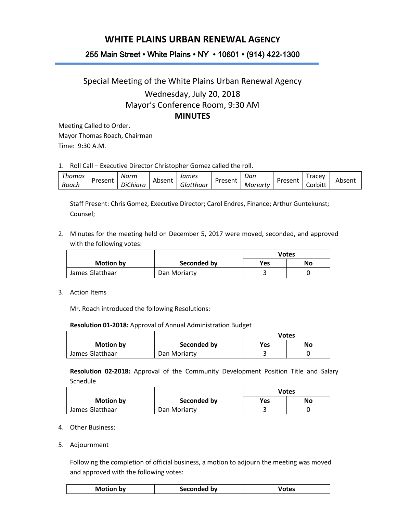## **WHITE PLAINS URBAN RENEWAL AGENCY**

## 255 Main Street • White Plains • NY • 10601 • (914) 422-1300

## Special Meeting of the White Plains Urban Renewal Agency Wednesday, July 20, 2018 Mayor's Conference Room, 9:30 AM **MINUTES**

Meeting Called to Order. Mayor Thomas Roach, Chairman Time: 9:30 A.M.

1. Roll Call – Executive Director Christopher Gomez called the roll.

| Thomas |         | Norm                                   |        | James     |         | Dan      |         | racev   |        |
|--------|---------|----------------------------------------|--------|-----------|---------|----------|---------|---------|--------|
| Roach  | Present | $\cdot$ $\sim$ $\cdot$<br>hiara<br>∍ונ | Absent | Glatthaar | Present | Moriarty | Present | Corbitt | Absent |

Staff Present: Chris Gomez, Executive Director; Carol Endres, Finance; Arthur Guntekunst; Counsel;

2. Minutes for the meeting held on December 5, 2017 were moved, seconded, and approved with the following votes:

|                  |              | Votes     |  |
|------------------|--------------|-----------|--|
| <b>Motion by</b> | Seconded by  | Yes<br>No |  |
| James Glatthaar  | Dan Moriarty | ٠         |  |

3. Action Items

Mr. Roach introduced the following Resolutions:

| Resolution 01-2018: Approval of Annual Administration Budget |  |
|--------------------------------------------------------------|--|
|--------------------------------------------------------------|--|

|                  |              | <b>Votes</b> |  |
|------------------|--------------|--------------|--|
| <b>Motion by</b> | Seconded by  | Yes<br>No    |  |
| James Glatthaar  | Dan Moriarty |              |  |

**Resolution 02-2018:** Approval of the Community Development Position Title and Salary Schedule

|                  |              | Votes            |  |
|------------------|--------------|------------------|--|
| <b>Motion by</b> | Seconded by  | <b>Yes</b><br>No |  |
| James Glatthaar  | Dan Moriarty |                  |  |

- 4. Other Business:
- 5. Adjournment

Following the completion of official business, a motion to adjourn the meeting was moved and approved with the following votes:

| <b>Motion by</b><br>Votes<br>Seconded by |  |  |  |
|------------------------------------------|--|--|--|
|------------------------------------------|--|--|--|